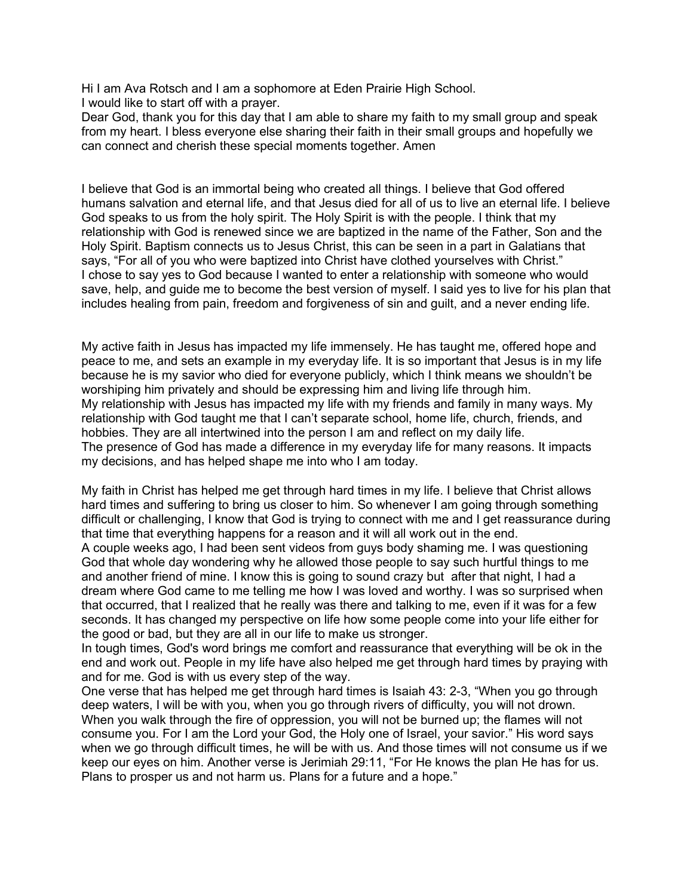Hi I am Ava Rotsch and I am a sophomore at Eden Prairie High School. I would like to start off with a prayer.

Dear God, thank you for this day that I am able to share my faith to my small group and speak from my heart. I bless everyone else sharing their faith in their small groups and hopefully we can connect and cherish these special moments together. Amen

I believe that God is an immortal being who created all things. I believe that God offered humans salvation and eternal life, and that Jesus died for all of us to live an eternal life. I believe God speaks to us from the holy spirit. The Holy Spirit is with the people. I think that my relationship with God is renewed since we are baptized in the name of the Father, Son and the Holy Spirit. Baptism connects us to Jesus Christ, this can be seen in a part in Galatians that says, "For all of you who were baptized into Christ have clothed yourselves with Christ." I chose to say yes to God because I wanted to enter a relationship with someone who would save, help, and guide me to become the best version of myself. I said yes to live for his plan that includes healing from pain, freedom and forgiveness of sin and guilt, and a never ending life.

My active faith in Jesus has impacted my life immensely. He has taught me, offered hope and peace to me, and sets an example in my everyday life. It is so important that Jesus is in my life because he is my savior who died for everyone publicly, which I think means we shouldn't be worshiping him privately and should be expressing him and living life through him. My relationship with Jesus has impacted my life with my friends and family in many ways. My relationship with God taught me that I can't separate school, home life, church, friends, and hobbies. They are all intertwined into the person I am and reflect on my daily life. The presence of God has made a difference in my everyday life for many reasons. It impacts my decisions, and has helped shape me into who I am today.

My faith in Christ has helped me get through hard times in my life. I believe that Christ allows hard times and suffering to bring us closer to him. So whenever I am going through something difficult or challenging, I know that God is trying to connect with me and I get reassurance during that time that everything happens for a reason and it will all work out in the end.

A couple weeks ago, I had been sent videos from guys body shaming me. I was questioning God that whole day wondering why he allowed those people to say such hurtful things to me and another friend of mine. I know this is going to sound crazy but after that night, I had a dream where God came to me telling me how I was loved and worthy. I was so surprised when that occurred, that I realized that he really was there and talking to me, even if it was for a few seconds. It has changed my perspective on life how some people come into your life either for the good or bad, but they are all in our life to make us stronger.

In tough times, God's word brings me comfort and reassurance that everything will be ok in the end and work out. People in my life have also helped me get through hard times by praying with and for me. God is with us every step of the way.

One verse that has helped me get through hard times is Isaiah 43: 2-3, "When you go through deep waters, I will be with you, when you go through rivers of difficulty, you will not drown. When you walk through the fire of oppression, you will not be burned up; the flames will not consume you. For I am the Lord your God, the Holy one of Israel, your savior." His word says when we go through difficult times, he will be with us. And those times will not consume us if we keep our eyes on him. Another verse is Jerimiah 29:11, "For He knows the plan He has for us. Plans to prosper us and not harm us. Plans for a future and a hope."